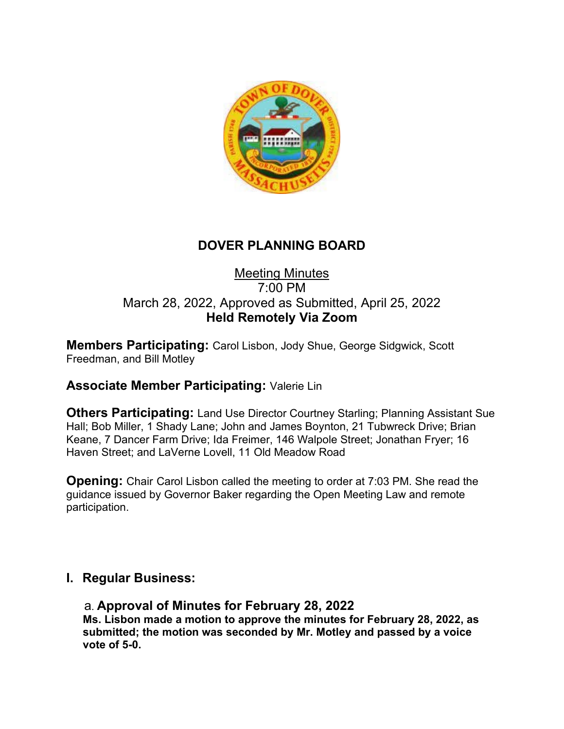

# **DOVER PLANNING BOARD**

### Meeting Minutes 7:00 PM March 28, 2022, Approved as Submitted, April 25, 2022 **Held Remotely Via Zoom**

**Members Participating:** Carol Lisbon, Jody Shue, George Sidgwick, Scott Freedman, and Bill Motley

# **Associate Member Participating:** Valerie Lin

**Others Participating:** Land Use Director Courtney Starling; Planning Assistant Sue Hall; Bob Miller, 1 Shady Lane; John and James Boynton, 21 Tubwreck Drive; Brian Keane, 7 Dancer Farm Drive; Ida Freimer, 146 Walpole Street; Jonathan Fryer; 16 Haven Street; and LaVerne Lovell, 11 Old Meadow Road

**Opening:** Chair Carol Lisbon called the meeting to order at 7:03 PM. She read the guidance issued by Governor Baker regarding the Open Meeting Law and remote participation.

## **I. Regular Business:**

#### a. **Approval of Minutes for February 28, 2022**

**Ms. Lisbon made a motion to approve the minutes for February 28, 2022, as submitted; the motion was seconded by Mr. Motley and passed by a voice vote of 5-0.**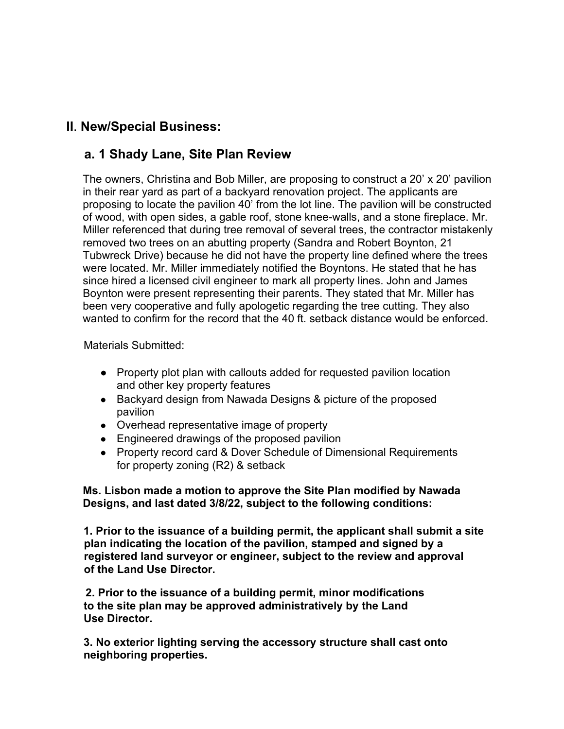# **II**. **New/Special Business:**

## **a. 1 Shady Lane, Site Plan Review**

The owners, Christina and Bob Miller, are proposing to construct a 20' x 20' pavilion in their rear yard as part of a backyard renovation project. The applicants are proposing to locate the pavilion 40' from the lot line. The pavilion will be constructed of wood, with open sides, a gable roof, stone knee-walls, and a stone fireplace. Mr. Miller referenced that during tree removal of several trees, the contractor mistakenly removed two trees on an abutting property (Sandra and Robert Boynton, 21 Tubwreck Drive) because he did not have the property line defined where the trees were located. Mr. Miller immediately notified the Boyntons. He stated that he has since hired a licensed civil engineer to mark all property lines. John and James Boynton were present representing their parents. They stated that Mr. Miller has been very cooperative and fully apologetic regarding the tree cutting. They also wanted to confirm for the record that the 40 ft. setback distance would be enforced.

Materials Submitted:

- Property plot plan with callouts added for requested pavilion location and other key property features
- Backyard design from Nawada Designs & picture of the proposed pavilion
- Overhead representative image of property
- Engineered drawings of the proposed pavilion
- Property record card & Dover Schedule of Dimensional Requirements for property zoning (R2) & setback

**Ms. Lisbon made a motion to approve the Site Plan modified by Nawada Designs, and last dated 3/8/22, subject to the following conditions:**

 **1. Prior to the issuance of a building permit, the applicant shall submit a site plan indicating the location of the pavilion, stamped and signed by a registered land surveyor or engineer, subject to the review and approval of the Land Use Director.**

 **2. Prior to the issuance of a building permit, minor modifications to the site plan may be approved administratively by the Land Use Director.**

**3. No exterior lighting serving the accessory structure shall cast onto neighboring properties.**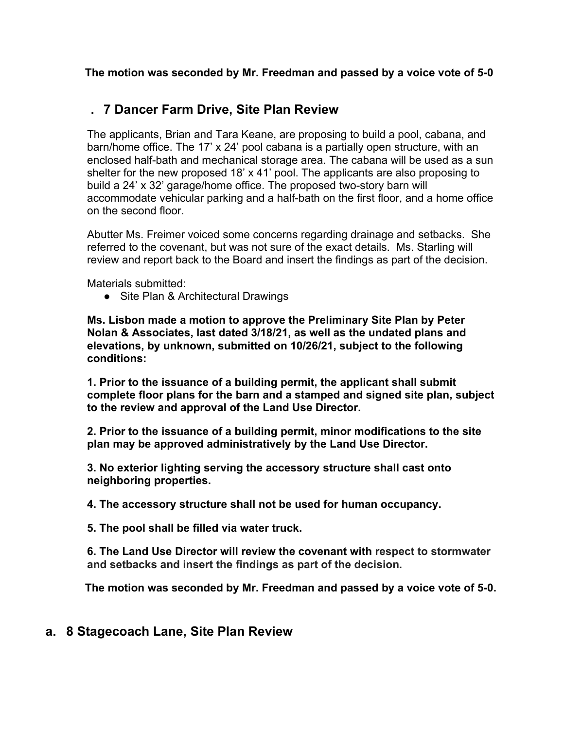**The motion was seconded by Mr. Freedman and passed by a voice vote of 5-0**

# **. 7 Dancer Farm Drive, Site Plan Review**

The applicants, Brian and Tara Keane, are proposing to build a pool, cabana, and barn/home office. The 17' x 24' pool cabana is a partially open structure, with an enclosed half-bath and mechanical storage area. The cabana will be used as a sun shelter for the new proposed 18' x 41' pool. The applicants are also proposing to build a 24' x 32' garage/home office. The proposed two-story barn will accommodate vehicular parking and a half-bath on the first floor, and a home office on the second floor.

Abutter Ms. Freimer voiced some concerns regarding drainage and setbacks. She referred to the covenant, but was not sure of the exact details. Ms. Starling will review and report back to the Board and insert the findings as part of the decision.

Materials submitted:

● Site Plan & Architectural Drawings

**Ms. Lisbon made a motion to approve the Preliminary Site Plan by Peter Nolan & Associates, last dated 3/18/21, as well as the undated plans and elevations, by unknown, submitted on 10/26/21, subject to the following conditions:**

**1. Prior to the issuance of a building permit, the applicant shall submit complete floor plans for the barn and a stamped and signed site plan, subject to the review and approval of the Land Use Director.**

**2. Prior to the issuance of a building permit, minor modifications to the site plan may be approved administratively by the Land Use Director.**

**3. No exterior lighting serving the accessory structure shall cast onto neighboring properties.**

**4. The accessory structure shall not be used for human occupancy.**

**5. The pool shall be filled via water truck.**

**6. The Land Use Director will review the covenant with respect to stormwater and setbacks and insert the findings as part of the decision.**

 **The motion was seconded by Mr. Freedman and passed by a voice vote of 5-0.**

## **a. 8 Stagecoach Lane, Site Plan Review**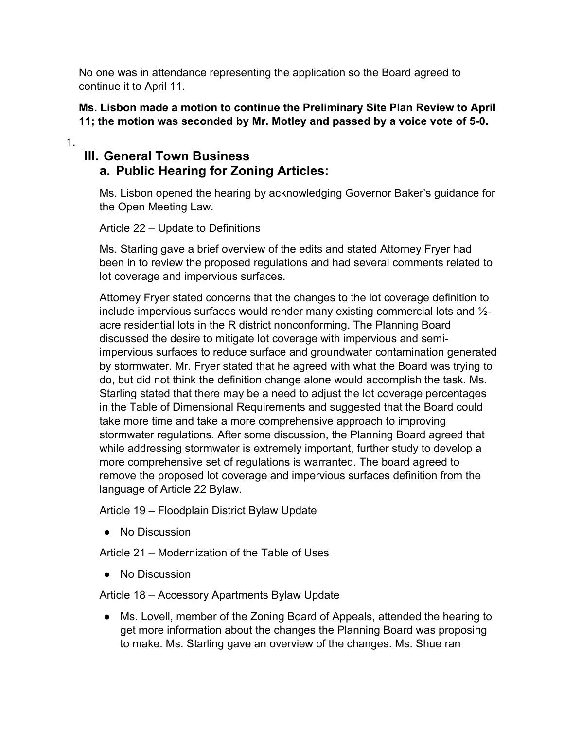No one was in attendance representing the application so the Board agreed to continue it to April 11.

#### **Ms. Lisbon made a motion to continue the Preliminary Site Plan Review to April 11; the motion was seconded by Mr. Motley and passed by a voice vote of 5-0.**

#### 1.

## **III. General Town Business a. Public Hearing for Zoning Articles:**

Ms. Lisbon opened the hearing by acknowledging Governor Baker's guidance for the Open Meeting Law.

Article 22 – Update to Definitions

Ms. Starling gave a brief overview of the edits and stated Attorney Fryer had been in to review the proposed regulations and had several comments related to lot coverage and impervious surfaces.

Attorney Fryer stated concerns that the changes to the lot coverage definition to include impervious surfaces would render many existing commercial lots and ½ acre residential lots in the R district nonconforming. The Planning Board discussed the desire to mitigate lot coverage with impervious and semiimpervious surfaces to reduce surface and groundwater contamination generated by stormwater. Mr. Fryer stated that he agreed with what the Board was trying to do, but did not think the definition change alone would accomplish the task. Ms. Starling stated that there may be a need to adjust the lot coverage percentages in the Table of Dimensional Requirements and suggested that the Board could take more time and take a more comprehensive approach to improving stormwater regulations. After some discussion, the Planning Board agreed that while addressing stormwater is extremely important, further study to develop a more comprehensive set of regulations is warranted. The board agreed to remove the proposed lot coverage and impervious surfaces definition from the language of Article 22 Bylaw.

Article 19 – Floodplain District Bylaw Update

● No Discussion

Article 21 – Modernization of the Table of Uses

● No Discussion

Article 18 – Accessory Apartments Bylaw Update

● Ms. Lovell, member of the Zoning Board of Appeals, attended the hearing to get more information about the changes the Planning Board was proposing to make. Ms. Starling gave an overview of the changes. Ms. Shue ran